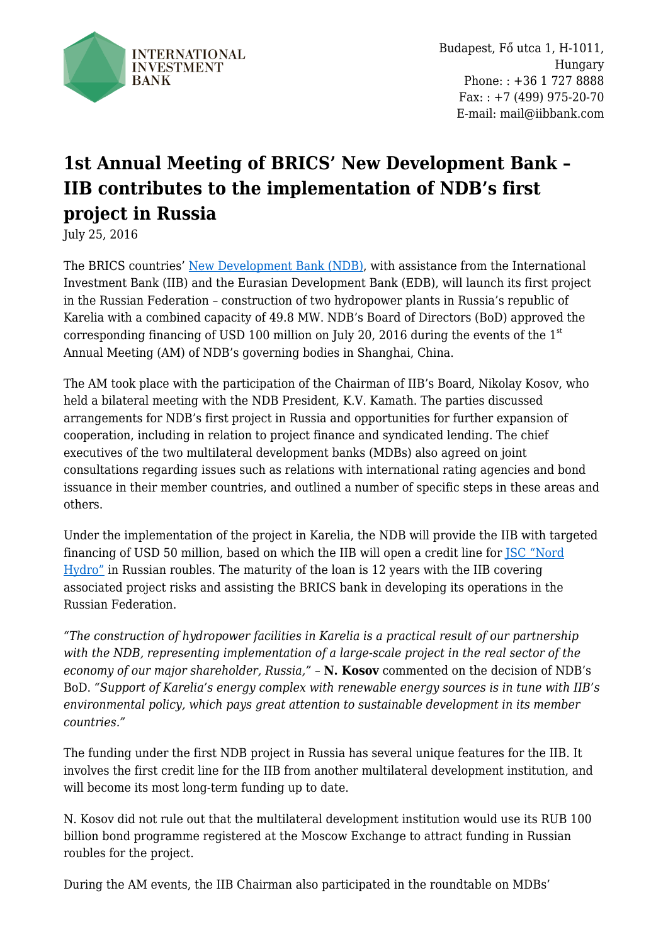

Budapest, Fő utca 1, H-1011, Hungary Phone: : +36 1 727 8888  $Fax: +7(499) 975-20-70$ E-mail: mail@iibbank.com

## **1st Annual Meeting of BRICS' New Development Bank – IIB contributes to the implementation of NDB's first project in Russia**

July 25, 2016

The BRICS countries' [New Development Bank \(NDB\),](http://ndb.int/) with assistance from the International Investment Bank (IIB) and the Eurasian Development Bank (EDB), will launch its first project in the Russian Federation – construction of two hydropower plants in Russia's republic of Karelia with a combined capacity of 49.8 MW. NDB's Board of Directors (BoD) approved the corresponding financing of USD 100 million on July 20, 2016 during the events of the  $1<sup>st</sup>$ Annual Meeting (AM) of NDB's governing bodies in Shanghai, China.

The AM took place with the participation of the Chairman of IIB's Board, Nikolay Kosov, who held a bilateral meeting with the NDB President, K.V. Kamath. The parties discussed arrangements for NDB's first project in Russia and opportunities for further expansion of cooperation, including in relation to project finance and syndicated lending. The chief executives of the two multilateral development banks (MDBs) also agreed on joint consultations regarding issues such as relations with international rating agencies and bond issuance in their member countries, and outlined a number of specific steps in these areas and others.

Under the implementation of the project in Karelia, the NDB will provide the IIB with targeted financing of USD 50 million, based on which the IIB will open a credit line for [JSC "Nord](http://translate.google.com/translate?client=tmpg&hl=en&langpair=ru|en&u=http://nord-hydro.ru/) [Hydro"](http://translate.google.com/translate?client=tmpg&hl=en&langpair=ru|en&u=http://nord-hydro.ru/) in Russian roubles. The maturity of the loan is 12 years with the IIB covering associated project risks and assisting the BRICS bank in developing its operations in the Russian Federation.

*"The construction of hydropower facilities in Karelia is a practical result of our partnership with the NDB, representing implementation of a large-scale project in the real sector of the economy of our major shareholder, Russia,"* – **N. Kosov** commented on the decision of NDB's BoD. *"Support of Karelia's energy complex with renewable energy sources is in tune with IIB's environmental policy, which pays great attention to sustainable development in its member countries."*

The funding under the first NDB project in Russia has several unique features for the IIB. It involves the first credit line for the IIB from another multilateral development institution, and will become its most long-term funding up to date.

N. Kosov did not rule out that the multilateral development institution would use its RUB 100 billion bond programme registered at the Moscow Exchange to attract funding in Russian roubles for the project.

During the AM events, the IIB Chairman also participated in the roundtable on MDBs'